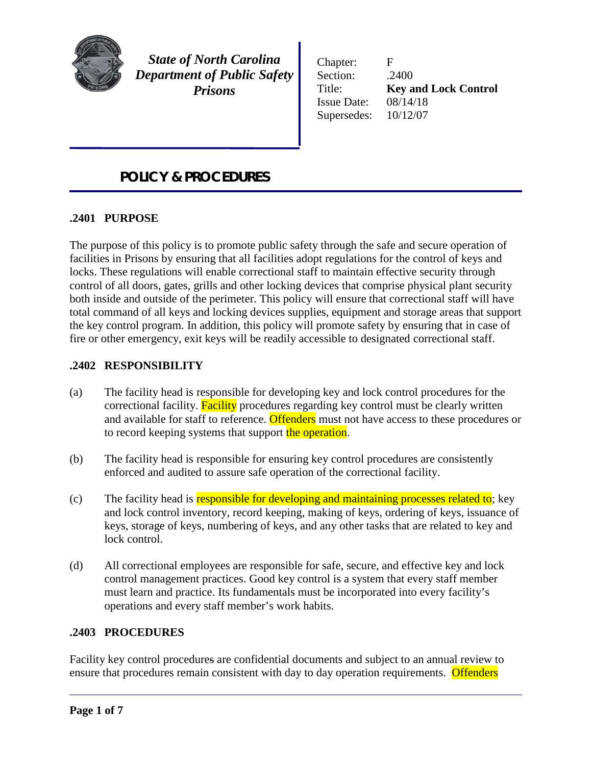

*State of North Carolina Department of Public Safety Prisons*

Chapter: F Section: .2400 Title: **Key and Lock Control** Issue Date: 08/14/18 Supersedes: 10/12/07

# *POLICY & PROCEDURES*

## **.2401 PURPOSE**

The purpose of this policy is to promote public safety through the safe and secure operation of facilities in Prisons by ensuring that all facilities adopt regulations for the control of keys and locks. These regulations will enable correctional staff to maintain effective security through control of all doors, gates, grills and other locking devices that comprise physical plant security both inside and outside of the perimeter. This policy will ensure that correctional staff will have total command of all keys and locking devices supplies, equipment and storage areas that support the key control program. In addition, this policy will promote safety by ensuring that in case of fire or other emergency, exit keys will be readily accessible to designated correctional staff.

## **.2402 RESPONSIBILITY**

- (a) The facility head is responsible for developing key and lock control procedures for the correctional facility. **Facility** procedures regarding key control must be clearly written and available for staff to reference. Offenders must not have access to these procedures or to record keeping systems that support the operation.
- (b) The facility head is responsible for ensuring key control procedures are consistently enforced and audited to assure safe operation of the correctional facility.
- (c) The facility head is **responsible for developing and maintaining processes related to**; key and lock control inventory, record keeping, making of keys, ordering of keys, issuance of keys, storage of keys, numbering of keys, and any other tasks that are related to key and lock control.
- (d) All correctional employees are responsible for safe, secure, and effective key and lock control management practices. Good key control is a system that every staff member must learn and practice. Its fundamentals must be incorporated into every facility's operations and every staff member's work habits.

#### **.2403 PROCEDURES**

Facility key control procedures are confidential documents and subject to an annual review to ensure that procedures remain consistent with day to day operation requirements. Offenders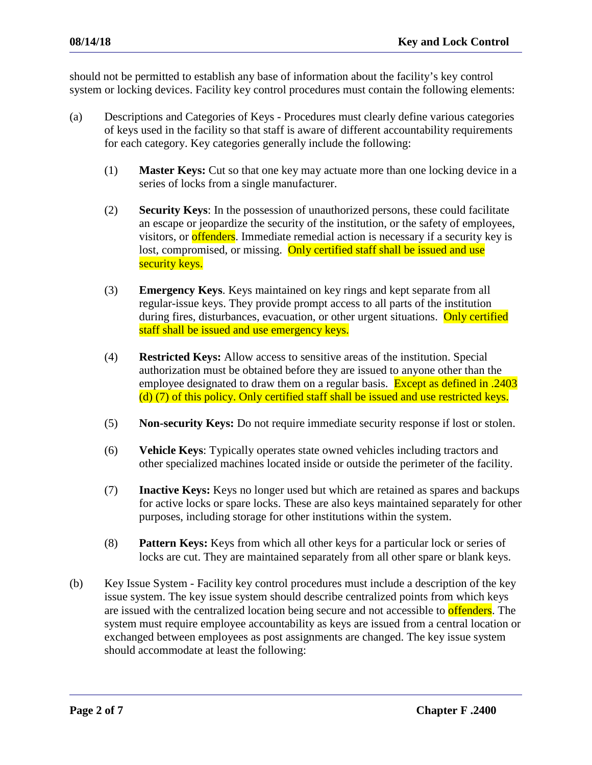should not be permitted to establish any base of information about the facility's key control system or locking devices. Facility key control procedures must contain the following elements:

- (a) Descriptions and Categories of Keys Procedures must clearly define various categories of keys used in the facility so that staff is aware of different accountability requirements for each category. Key categories generally include the following:
	- (1) **Master Keys:** Cut so that one key may actuate more than one locking device in a series of locks from a single manufacturer.
	- (2) **Security Keys**: In the possession of unauthorized persons, these could facilitate an escape or jeopardize the security of the institution, or the safety of employees, visitors, or **offenders**. Immediate remedial action is necessary if a security key is lost, compromised, or missing. Only certified staff shall be issued and use security keys.
	- (3) **Emergency Keys**. Keys maintained on key rings and kept separate from all regular-issue keys. They provide prompt access to all parts of the institution during fires, disturbances, evacuation, or other urgent situations. Only certified staff shall be issued and use emergency keys.
	- (4) **Restricted Keys:** Allow access to sensitive areas of the institution. Special authorization must be obtained before they are issued to anyone other than the employee designated to draw them on a regular basis. Except as defined in .2403 (d) (7) of this policy. Only certified staff shall be issued and use restricted keys.
	- (5) **Non-security Keys:** Do not require immediate security response if lost or stolen.
	- (6) **Vehicle Keys**: Typically operates state owned vehicles including tractors and other specialized machines located inside or outside the perimeter of the facility.
	- (7) **Inactive Keys:** Keys no longer used but which are retained as spares and backups for active locks or spare locks. These are also keys maintained separately for other purposes, including storage for other institutions within the system.
	- (8) **Pattern Keys:** Keys from which all other keys for a particular lock or series of locks are cut. They are maintained separately from all other spare or blank keys.
- (b) Key Issue System Facility key control procedures must include a description of the key issue system. The key issue system should describe centralized points from which keys are issued with the centralized location being secure and not accessible to **offenders**. The system must require employee accountability as keys are issued from a central location or exchanged between employees as post assignments are changed. The key issue system should accommodate at least the following: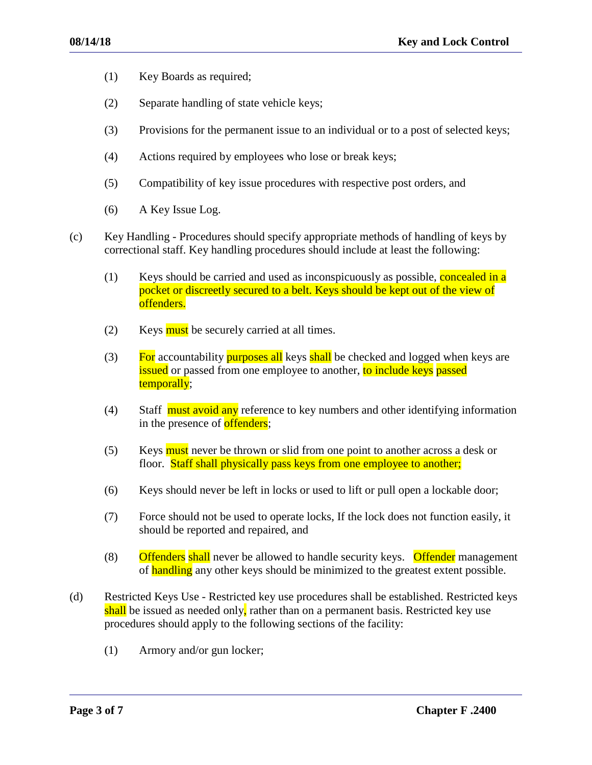- (1) Key Boards as required;
- (2) Separate handling of state vehicle keys;
- (3) Provisions for the permanent issue to an individual or to a post of selected keys;
- (4) Actions required by employees who lose or break keys;
- (5) Compatibility of key issue procedures with respective post orders, and
- (6) A Key Issue Log.
- (c) Key Handling Procedures should specify appropriate methods of handling of keys by correctional staff. Key handling procedures should include at least the following:
	- $(1)$  Keys should be carried and used as inconspicuously as possible, concealed in a pocket or discreetly secured to a belt. Keys should be kept out of the view of offenders.
	- $(2)$  Keys must be securely carried at all times.
	- (3) For accountability purposes all keys shall be checked and logged when keys are **issued** or passed from one employee to another, to include keys passed temporally;
	- (4) Staff must avoid any reference to key numbers and other identifying information in the presence of **offenders**;
	- (5) Keys must never be thrown or slid from one point to another across a desk or floor. Staff shall physically pass keys from one employee to another;
	- (6) Keys should never be left in locks or used to lift or pull open a lockable door;
	- (7) Force should not be used to operate locks, If the lock does not function easily, it should be reported and repaired, and
	- (8) Offenders shall never be allowed to handle security keys. Offender management of handling any other keys should be minimized to the greatest extent possible.
- (d) Restricted Keys Use Restricted key use procedures shall be established. Restricted keys shall be issued as needed only, rather than on a permanent basis. Restricted key use procedures should apply to the following sections of the facility:
	- (1) Armory and/or gun locker;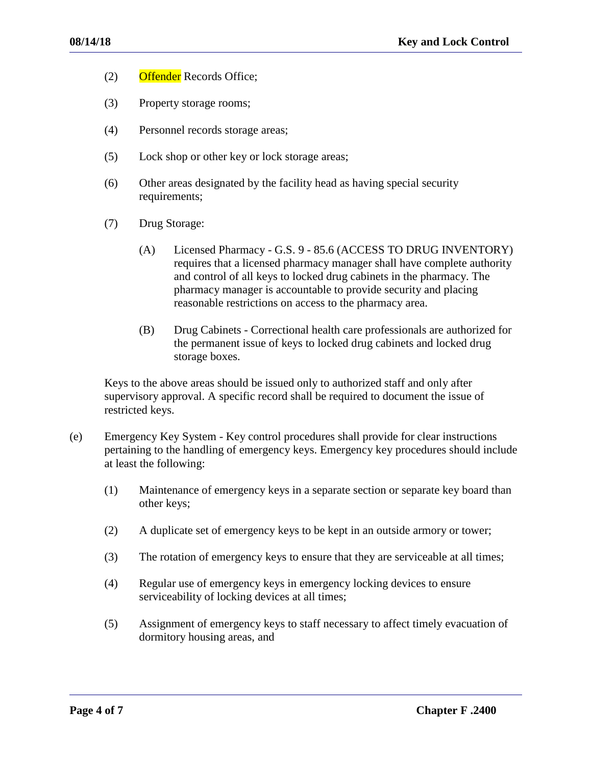- (2) Offender Records Office;
- (3) Property storage rooms;
- (4) Personnel records storage areas;
- (5) Lock shop or other key or lock storage areas;
- (6) Other areas designated by the facility head as having special security requirements;
- (7) Drug Storage:
	- (A) Licensed Pharmacy G.S. 9 85.6 (ACCESS TO DRUG INVENTORY) requires that a licensed pharmacy manager shall have complete authority and control of all keys to locked drug cabinets in the pharmacy. The pharmacy manager is accountable to provide security and placing reasonable restrictions on access to the pharmacy area.
	- (B) Drug Cabinets Correctional health care professionals are authorized for the permanent issue of keys to locked drug cabinets and locked drug storage boxes.

Keys to the above areas should be issued only to authorized staff and only after supervisory approval. A specific record shall be required to document the issue of restricted keys.

- (e) Emergency Key System Key control procedures shall provide for clear instructions pertaining to the handling of emergency keys. Emergency key procedures should include at least the following:
	- (1) Maintenance of emergency keys in a separate section or separate key board than other keys;
	- (2) A duplicate set of emergency keys to be kept in an outside armory or tower;
	- (3) The rotation of emergency keys to ensure that they are serviceable at all times;
	- (4) Regular use of emergency keys in emergency locking devices to ensure serviceability of locking devices at all times;
	- (5) Assignment of emergency keys to staff necessary to affect timely evacuation of dormitory housing areas, and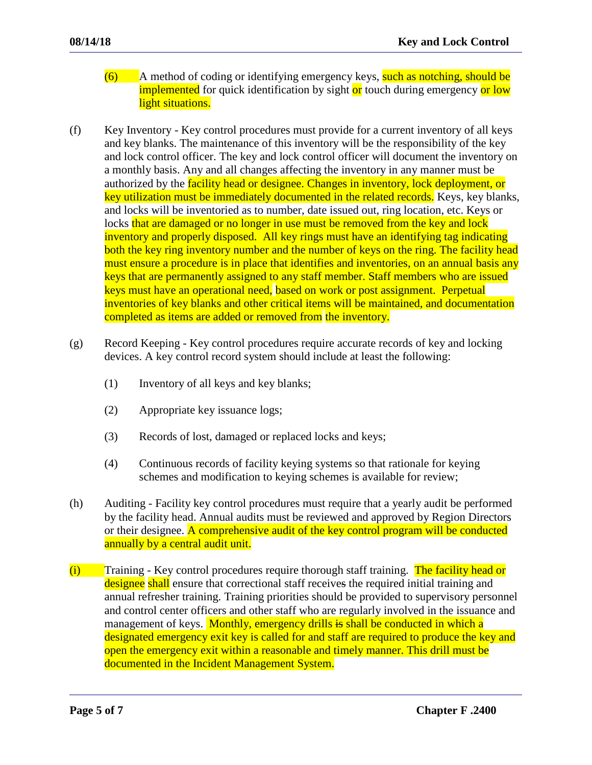- $(6)$  A method of coding or identifying emergency keys, such as notching, should be implemented for quick identification by sight or touch during emergency or low light situations.
- (f) Key Inventory Key control procedures must provide for a current inventory of all keys and key blanks. The maintenance of this inventory will be the responsibility of the key and lock control officer. The key and lock control officer will document the inventory on a monthly basis. Any and all changes affecting the inventory in any manner must be authorized by the **facility head or designee. Changes in inventory**, lock deployment, or key utilization must be immediately documented in the related records. Keys, key blanks, and locks will be inventoried as to number, date issued out, ring location, etc. Keys or locks that are damaged or no longer in use must be removed from the key and lock inventory and properly disposed. All key rings must have an identifying tag indicating both the key ring inventory number and the number of keys on the ring. The facility head must ensure a procedure is in place that identifies and inventories, on an annual basis any keys that are permanently assigned to any staff member. Staff members who are issued keys must have an operational need, based on work or post assignment. Perpetual inventories of key blanks and other critical items will be maintained, and documentation completed as items are added or removed from the inventory.
- (g) Record Keeping Key control procedures require accurate records of key and locking devices. A key control record system should include at least the following:
	- (1) Inventory of all keys and key blanks;
	- (2) Appropriate key issuance logs;
	- (3) Records of lost, damaged or replaced locks and keys;
	- (4) Continuous records of facility keying systems so that rationale for keying schemes and modification to keying schemes is available for review;
- (h) Auditing Facility key control procedures must require that a yearly audit be performed by the facility head. Annual audits must be reviewed and approved by Region Directors or their designee. A comprehensive audit of the key control program will be conducted annually by a central audit unit.
- (i) Training Key control procedures require thorough staff training. The facility head or designee shall ensure that correctional staff receives the required initial training and annual refresher training. Training priorities should be provided to supervisory personnel and control center officers and other staff who are regularly involved in the issuance and management of keys. Monthly, emergency drills is shall be conducted in which a designated emergency exit key is called for and staff are required to produce the key and open the emergency exit within a reasonable and timely manner. This drill must be documented in the Incident Management System.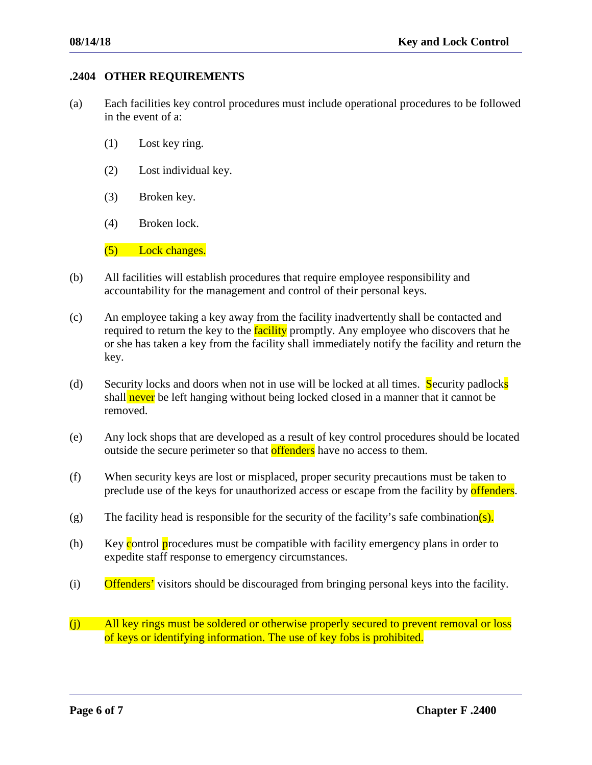#### **.2404 OTHER REQUIREMENTS**

- (a) Each facilities key control procedures must include operational procedures to be followed in the event of a:
	- (1) Lost key ring.
	- (2) Lost individual key.
	- (3) Broken key.
	- (4) Broken lock.
	- (5) Lock changes.
- (b) All facilities will establish procedures that require employee responsibility and accountability for the management and control of their personal keys.
- (c) An employee taking a key away from the facility inadvertently shall be contacted and required to return the key to the **facility** promptly. Any employee who discovers that he or she has taken a key from the facility shall immediately notify the facility and return the key.
- (d) Security locks and doors when not in use will be locked at all times. Security padlocks shall never be left hanging without being locked closed in a manner that it cannot be removed.
- (e) Any lock shops that are developed as a result of key control procedures should be located outside the secure perimeter so that offenders have no access to them.
- (f) When security keys are lost or misplaced, proper security precautions must be taken to preclude use of the keys for unauthorized access or escape from the facility by **offenders**.
- (g) The facility head is responsible for the security of the facility's safe combination(s).
- (h) Key control procedures must be compatible with facility emergency plans in order to expedite staff response to emergency circumstances.
- (i) Offenders' visitors should be discouraged from bringing personal keys into the facility.
- (j) All key rings must be soldered or otherwise properly secured to prevent removal or loss of keys or identifying information. The use of key fobs is prohibited.